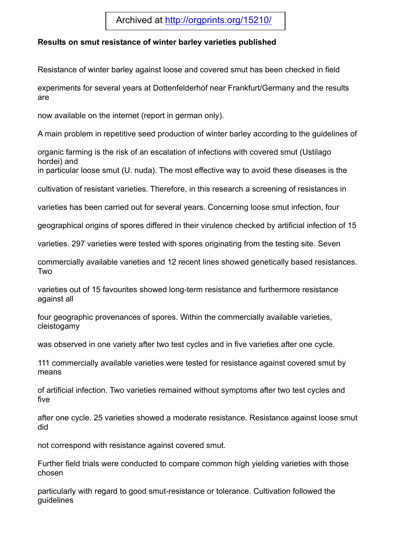## Archived at http://orgprints.org/15210/

## **Results on smut resistance of winter barley varieties published**

Resistance of winter barley against loose and covered smut has been checked in field

experiments for several years at Dottenfelderhof near Frankfurt/Germany and the results are

now available on the internet (report in german only).

A main problem in repetitive seed production of winter barley according to the guidelines of

organic farming is the risk of an escalation of infections with covered smut (Ustilago hordei) and

in particular loose smut (U. nuda). The most effective way to avoid these diseases is the

cultivation of resistant varieties. Therefore, in this research a screening of resistances in

varieties has been carried out for several years. Concerning loose smut infection, four

geographical origins of spores differed in their virulence checked by artificial infection of 15

varieties. 297 varieties were tested with spores originating from the testing site. Seven

commercially available varieties and 12 recent lines showed genetically based resistances. Two

varieties out of 15 favourites showed long-term resistance and furthermore resistance against all

four geographic provenances of spores. Within the commercially available varieties, cleistogamy

was observed in one variety after two test cycles and in five varieties after one cycle.

111 commercially available varieties were tested for resistance against covered smut by means

of artificial infection. Two varieties remained without symptoms after two test cycles and five

after one cycle. 25 varieties showed a moderate resistance. Resistance against loose smut did

not correspond with resistance against covered smut.

Further field trials were conducted to compare common high yielding varieties with those chosen

particularly with regard to good smut-resistance or tolerance. Cultivation followed the guidelines